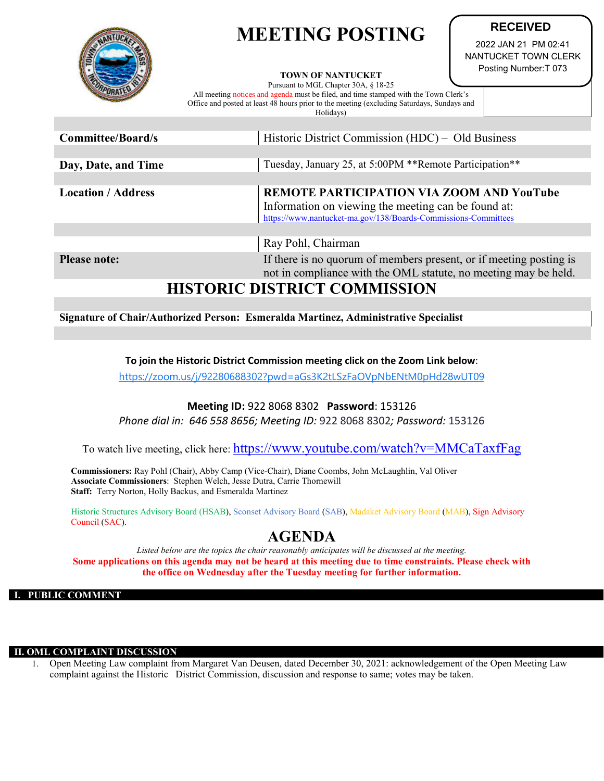# **MEETING POSTING**



#### **TOWN OF NANTUCKET**

Pursuant to MGL Chapter 30A, § 18-25 All meeting notices and agenda must be filed, and time stamped with the Town Clerk's Office and posted at least 48 hours prior to the meeting (excluding Saturdays, Sundays and Holidays)

**RECEIVED**

2022 JAN 21 PM 02:41 NANTUCKET TOWN CLERK Posting Number:T 073

| Committee/Board/s         | Historic District Commission (HDC) – Old Business                  |
|---------------------------|--------------------------------------------------------------------|
|                           |                                                                    |
| Day, Date, and Time       | Tuesday, January 25, at 5:00PM **Remote Participation**            |
|                           |                                                                    |
| <b>Location / Address</b> | REMOTE PARTICIPATION VIA ZOOM AND YouTube                          |
|                           | Information on viewing the meeting can be found at:                |
|                           | https://www.nantucket-ma.gov/138/Boards-Commissions-Committees     |
|                           |                                                                    |
|                           | Ray Pohl, Chairman                                                 |
| <b>Please note:</b>       | If there is no quorum of members present, or if meeting posting is |

not in compliance with the OML statute, no meeting may be held.

# **HISTORIC DISTRICT COMMISSION**

### **Signature of Chair/Authorized Person: Esmeralda Martinez, Administrative Specialist**

## **To join the Historic District Commission meeting click on the Zoom Link below**:

<https://zoom.us/j/92280688302?pwd=aGs3K2tLSzFaOVpNbENtM0pHd28wUT09>

## **Meeting ID:** 922 8068 8302 **Password**: 153126

*Phone dial in: 646 558 8656; Meeting ID:* 922 8068 8302*; Password:* 153126

To watch live meeting, click here:<https://www.youtube.com/watch?v=MMCaTaxfFag>

**Commissioners:** Ray Pohl (Chair), Abby Camp (Vice-Chair), Diane Coombs, John McLaughlin, Val Oliver **Associate Commissioners**: Stephen Welch, Jesse Dutra, Carrie Thornewill **Staff:** Terry Norton, Holly Backus, and Esmeralda Martinez

Historic Structures Advisory Board (HSAB), Sconset Advisory Board (SAB), Madaket Advisory Board (MAB), Sign Advisory Council (SAC).

# **AGENDA**

*Listed below are the topics the chair reasonably anticipates will be discussed at the meeting.* **Some applications on this agenda may not be heard at this meeting due to time constraints. Please check with the office on Wednesday after the Tuesday meeting for further information.**

#### **I. PUBLIC COMMENT**

#### *OML COMPLAINT DISCUSSION*

1. Open Meeting Law complaint from Margaret Van Deusen, dated December 30, 2021: acknowledgement of the Open Meeting Law complaint against the Historic District Commission, discussion and response to same; votes may be taken.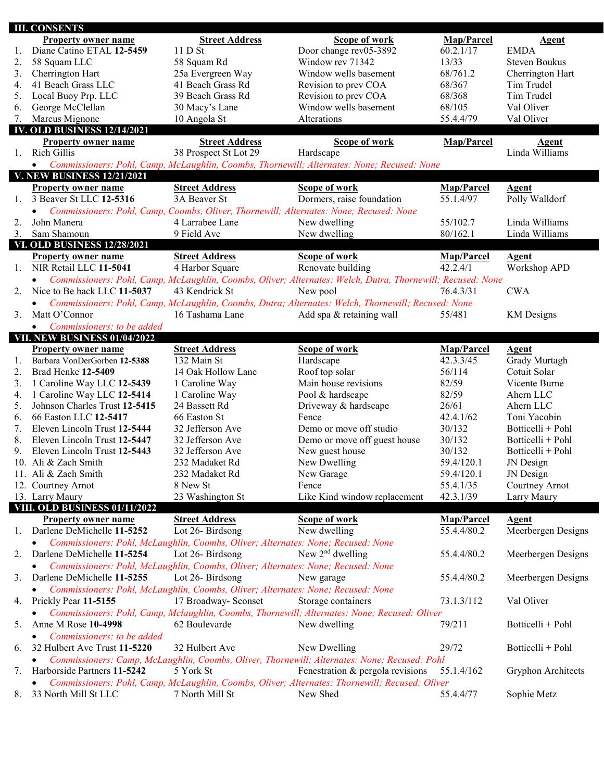|    | <b>III. CONSENTS</b>                                                                                                                                                                                             |                                                                                  |                                                                                                            |             |                      |
|----|------------------------------------------------------------------------------------------------------------------------------------------------------------------------------------------------------------------|----------------------------------------------------------------------------------|------------------------------------------------------------------------------------------------------------|-------------|----------------------|
|    | <b>Property owner name</b>                                                                                                                                                                                       | <b>Street Address</b>                                                            | Scope of work                                                                                              | Map/Parcel  | <b>Agent</b>         |
| 1. | Diane Catino ETAL 12-5459                                                                                                                                                                                        | 11D St                                                                           | Door change rev05-3892                                                                                     | 60.2.1/17   | <b>EMDA</b>          |
| 2. | 58 Squam LLC                                                                                                                                                                                                     | 58 Squam Rd                                                                      | Window rev 71342                                                                                           | 13/33       | <b>Steven Boukus</b> |
| 3. | Cherrington Hart                                                                                                                                                                                                 | 25a Evergreen Way                                                                | Window wells basement                                                                                      | 68/761.2    | Cherrington Hart     |
| 4. | 41 Beach Grass LLC                                                                                                                                                                                               | 41 Beach Grass Rd                                                                | Revision to prev COA                                                                                       | 68/367      | Tim Trudel           |
| 5. | Local Buoy Prp. LLC                                                                                                                                                                                              | 39 Beach Grass Rd                                                                | Revision to prev COA                                                                                       | 68/368      | Tim Trudel           |
| 6. | George McClellan                                                                                                                                                                                                 | 30 Macy's Lane                                                                   | Window wells basement                                                                                      | 68/105      | Val Oliver           |
| 7. | Marcus Mignone                                                                                                                                                                                                   | 10 Angola St                                                                     | Alterations                                                                                                | 55.4.4/79   | Val Oliver           |
|    | <b>IV. OLD BUSINESS 12/14/2021</b>                                                                                                                                                                               |                                                                                  |                                                                                                            |             |                      |
|    | <b>Property owner name</b>                                                                                                                                                                                       | <b>Street Address</b>                                                            | Scope of work                                                                                              | Map/Parcel  | <b>Agent</b>         |
| 1. | Rich Gillis                                                                                                                                                                                                      | 38 Prospect St Lot 29                                                            | Hardscape                                                                                                  |             | Linda Williams       |
|    |                                                                                                                                                                                                                  |                                                                                  |                                                                                                            |             |                      |
|    | $\bullet$<br><b>V. NEW BUSINESS 12/21/2021</b>                                                                                                                                                                   |                                                                                  | Commissioners: Pohl, Camp, McLaughlin, Coombs, Thornewill; Alternates: None; Recused: None                 |             |                      |
|    | <b>Property owner name</b>                                                                                                                                                                                       | <b>Street Address</b>                                                            | Scope of work                                                                                              | Map/Parcel  | Agent                |
|    | 3 Beaver St LLC 12-5316                                                                                                                                                                                          | 3A Beaver St                                                                     |                                                                                                            | 55.1.4/97   |                      |
| 1. |                                                                                                                                                                                                                  |                                                                                  | Dormers, raise foundation                                                                                  |             | Polly Walldorf       |
|    |                                                                                                                                                                                                                  |                                                                                  | Commissioners: Pohl, Camp, Coombs, Oliver, Thornewill; Alternates: None; Recused: None                     |             |                      |
| 2. | John Manera                                                                                                                                                                                                      | 4 Larrabee Lane                                                                  | New dwelling                                                                                               | 55/102.7    | Linda Williams       |
| 3. | Sam Shamoun                                                                                                                                                                                                      | 9 Field Ave                                                                      | New dwelling                                                                                               | 80/162.1    | Linda Williams       |
|    | <b>VI. OLD BUSINESS 12/28/2021</b>                                                                                                                                                                               |                                                                                  |                                                                                                            |             |                      |
|    | <b>Property owner name</b>                                                                                                                                                                                       | <b>Street Address</b>                                                            | Scope of work                                                                                              | Map/Parcel  | <b>Agent</b>         |
| 1. | NIR Retail LLC 11-5041                                                                                                                                                                                           | 4 Harbor Square                                                                  | Renovate building                                                                                          | 42.2.4/1    | Workshop APD         |
|    | $\bullet$                                                                                                                                                                                                        |                                                                                  | Commissioners: Pohl, Camp, McLaughlin, Coombs, Oliver; Alternates: Welch, Dutra, Thornewill; Recused: None |             |                      |
| 2. | Nice to Be back LLC 11-5037                                                                                                                                                                                      | 43 Kendrick St                                                                   | New pool                                                                                                   | 76.4.3/31   | <b>CWA</b>           |
|    | $\bullet$                                                                                                                                                                                                        |                                                                                  | Commissioners: Pohl, Camp, McLaughlin, Coombs, Dutra; Alternates: Welch, Thornewill; Recused: None         |             |                      |
| 3. | Matt O'Connor                                                                                                                                                                                                    | 16 Tashama Lane                                                                  | Add spa & retaining wall                                                                                   | 55/481      | <b>KM</b> Designs    |
|    | Commissioners: to be added<br>$\bullet$                                                                                                                                                                          |                                                                                  |                                                                                                            |             |                      |
|    | VII. NEW BUSINESS 01/04/2022                                                                                                                                                                                     |                                                                                  |                                                                                                            |             |                      |
|    | <b>Property owner name</b>                                                                                                                                                                                       | <b>Street Address</b>                                                            | Scope of work                                                                                              | Map/Parcel  | <b>Agent</b>         |
| 1. | Barbara VonDerGorben 12-5388                                                                                                                                                                                     | 132 Main St                                                                      | Hardscape                                                                                                  | 42.3.3/45   | Grady Murtagh        |
| 2. | Brad Henke 12-5409                                                                                                                                                                                               | 14 Oak Hollow Lane                                                               | Roof top solar                                                                                             | 56/114      | Cotuit Solar         |
| 3. | 1 Caroline Way LLC 12-5439                                                                                                                                                                                       | 1 Caroline Way                                                                   | Main house revisions                                                                                       | 82/59       | Vicente Burne        |
| 4. | 1 Caroline Way LLC 12-5414                                                                                                                                                                                       | 1 Caroline Way                                                                   | Pool & hardscape                                                                                           | 82/59       | Ahern LLC            |
| 5. | Johnson Charles Trust 12-5415                                                                                                                                                                                    | 24 Bassett Rd                                                                    | Driveway & hardscape                                                                                       | 26/61       | Ahern LLC            |
| 6. | 66 Easton LLC 12-5417                                                                                                                                                                                            | 66 Easton St                                                                     | Fence                                                                                                      | 42.4.1/62   | Toni Yacobin         |
| 7. | Eleven Lincoln Trust 12-5444                                                                                                                                                                                     | 32 Jefferson Ave                                                                 | Demo or move off studio                                                                                    | 30/132      | Botticelli + Pohl    |
| 8. | Eleven Lincoln Trust 12-5447                                                                                                                                                                                     | 32 Jefferson Ave                                                                 | Demo or move off guest house                                                                               | 30/132      | Botticelli + Pohl    |
| 9. | Eleven Lincoln Trust 12-5443                                                                                                                                                                                     | 32 Jefferson Ave                                                                 | New guest house                                                                                            | 30/132      | Botticelli + Pohl    |
|    | 10. Ali & Zach Smith                                                                                                                                                                                             | 232 Madaket Rd                                                                   | New Dwelling                                                                                               | 59.4/120.1  | JN Design            |
|    | 11. Ali & Zach Smith                                                                                                                                                                                             | 232 Madaket Rd                                                                   | New Garage                                                                                                 | 59.4/120.1  | JN Design            |
|    | 12. Courtney Arnot                                                                                                                                                                                               | 8 New St                                                                         | Fence                                                                                                      | 55.4.1/35   | Courtney Arnot       |
|    | 13. Larry Maury                                                                                                                                                                                                  | 23 Washington St                                                                 | Like Kind window replacement                                                                               | 42.3.1/39   | Larry Maury          |
|    | VIII. OLD BUSINESS 01/11/2022                                                                                                                                                                                    |                                                                                  |                                                                                                            |             |                      |
|    | <b>Property owner name</b>                                                                                                                                                                                       | <b>Street Address</b>                                                            | Scope of work                                                                                              | Map/Parcel  | Agent                |
| Ι. | Darlene DeMichelle 11-5252                                                                                                                                                                                       | Lot 26-Birdsong                                                                  | New dwelling                                                                                               | 55.4.4/80.2 | Meerbergen Designs   |
|    |                                                                                                                                                                                                                  | Commissioners: Pohl, McLaughlin, Coombs, Oliver; Alternates: None; Recused: None |                                                                                                            |             |                      |
|    |                                                                                                                                                                                                                  | Lot 26-Birdsong                                                                  | New $2nd$ dwelling                                                                                         |             |                      |
| 2. | Darlene DeMichelle 11-5254                                                                                                                                                                                       |                                                                                  |                                                                                                            | 55.4.4/80.2 | Meerbergen Designs   |
|    |                                                                                                                                                                                                                  | Commissioners: Pohl, McLaughlin, Coombs, Oliver; Alternates: None; Recused: None |                                                                                                            |             |                      |
| 3. | Darlene DeMichelle 11-5255                                                                                                                                                                                       | Lot 26-Birdsong                                                                  | New garage                                                                                                 | 55.4.4/80.2 | Meerbergen Designs   |
|    |                                                                                                                                                                                                                  | Commissioners: Pohl, McLaughlin, Coombs, Oliver; Alternates: None; Recused: None |                                                                                                            |             |                      |
| 4. | Prickly Pear 11-5155                                                                                                                                                                                             | 17 Broadway- Sconset                                                             | Storage containers                                                                                         | 73.1.3/112  | Val Oliver           |
|    |                                                                                                                                                                                                                  |                                                                                  | Commissioners: Pohl, Camp, Mclaughlin, Coombs, Thornewill; Alternates: None; Recused: Oliver               |             |                      |
| 5. | Anne M Rose 10-4998                                                                                                                                                                                              | 62 Boulevarde                                                                    | New dwelling                                                                                               | 79/211      | Botticelli + Pohl    |
|    | Commissioners: to be added                                                                                                                                                                                       |                                                                                  |                                                                                                            |             |                      |
| 6. | 32 Hulbert Ave Trust 11-5220                                                                                                                                                                                     | 32 Hulbert Ave                                                                   | New Dwelling                                                                                               | 29/72       | Botticelli + Pohl    |
|    |                                                                                                                                                                                                                  |                                                                                  |                                                                                                            |             |                      |
|    | Commissioners: Camp, McLaughlin, Coombs, Oliver, Thornewill; Alternates: None; Recused: Pohl<br>Harborside Partners 11-5242<br>5 York St<br>Fenestration & pergola revisions<br>Gryphon Architects<br>55.1.4/162 |                                                                                  |                                                                                                            |             |                      |
| 7. | Commissioners: Pohl, Camp, McLaughlin, Coombs, Oliver; Alternates: Thornewill; Recused: Oliver                                                                                                                   |                                                                                  |                                                                                                            |             |                      |
|    | 33 North Mill St LLC                                                                                                                                                                                             | 7 North Mill St                                                                  | New Shed                                                                                                   | 55.4.4/77   |                      |
| 8. |                                                                                                                                                                                                                  |                                                                                  |                                                                                                            |             | Sophie Metz          |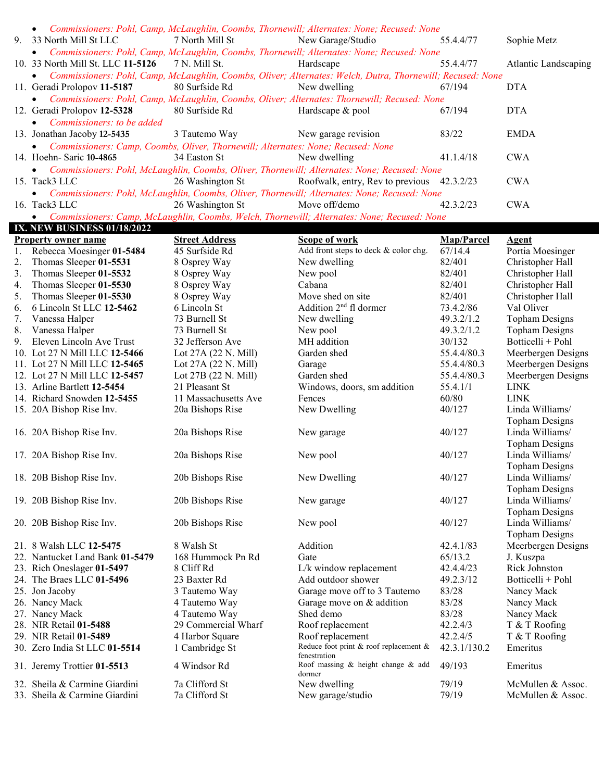|    | • Commissioners: Pohl, Camp, McLaughlin, Coombs, Thornewill; Alternates: None; Recused: None   |                  |                                                                                                              |           |                             |  |  |
|----|------------------------------------------------------------------------------------------------|------------------|--------------------------------------------------------------------------------------------------------------|-----------|-----------------------------|--|--|
| 9. | 33 North Mill St LLC                                                                           | 7 North Mill St  | New Garage/Studio                                                                                            | 55.4.4/77 | Sophie Metz                 |  |  |
|    |                                                                                                |                  | • Commissioners: Pohl, Camp, McLaughlin, Coombs, Thornewill; Alternates: None; Recused: None                 |           |                             |  |  |
|    | 10. 33 North Mill St. LLC 11-5126                                                              | 7 N. Mill St.    | Hardscape                                                                                                    | 55.4.4/77 | <b>Atlantic Landscaping</b> |  |  |
|    |                                                                                                |                  | • Commissioners: Pohl, Camp, McLaughlin, Coombs, Oliver; Alternates: Welch, Dutra, Thornewill; Recused: None |           |                             |  |  |
|    | 11. Geradi Prolopov 11-5187                                                                    | 80 Surfside Rd   | New dwelling                                                                                                 | 67/194    | <b>DTA</b>                  |  |  |
|    |                                                                                                |                  | • Commissioners: Pohl, Camp, McLaughlin, Coombs, Oliver; Alternates: Thornewill; Recused: None               |           |                             |  |  |
|    | 12. Geradi Prolopov 12-5328                                                                    | 80 Surfside Rd   | Hardscape & pool                                                                                             | 67/194    | <b>DTA</b>                  |  |  |
|    | • Commissioners: to be added                                                                   |                  |                                                                                                              |           |                             |  |  |
|    | 13. Jonathan Jacoby 12-5435                                                                    | 3 Tautemo Way    | New garage revision                                                                                          | 83/22     | <b>EMDA</b>                 |  |  |
|    | • Commissioners: Camp, Coombs, Oliver, Thornewill; Alternates: None; Recused: None             |                  |                                                                                                              |           |                             |  |  |
|    | 14. Hoehn- Saric 10-4865                                                                       | 34 Easton St     | New dwelling                                                                                                 | 41.1.4/18 | <b>CWA</b>                  |  |  |
|    | • Commissioners: Pohl, McLaughlin, Coombs, Oliver, Thornewill; Alternates: None; Recused: None |                  |                                                                                                              |           |                             |  |  |
|    | 15. Tack3 LLC                                                                                  |                  | 26 Washington St Roofwalk, entry, Rev to previous 42.3.2/23                                                  |           | <b>CWA</b>                  |  |  |
|    | • Commissioners: Pohl, McLaughlin, Coombs, Oliver, Thornewill; Alternates: None; Recused: None |                  |                                                                                                              |           |                             |  |  |
|    | 16. Tack3 LLC                                                                                  | 26 Washington St | Move off/demo                                                                                                | 42.3.2/23 | <b>CWA</b>                  |  |  |
|    | • Commissioners: Camp, McLaughlin, Coombs, Welch, Thornewill; Alternates: None; Recused: None  |                  |                                                                                                              |           |                             |  |  |

|    | <b>IX. NEW BUSINESS 01/18/2022</b> |                       |                                           |              |                       |
|----|------------------------------------|-----------------------|-------------------------------------------|--------------|-----------------------|
|    | <b>Property owner name</b>         | <b>Street Address</b> | Scope of work                             | Map/Parcel   | <b>Agent</b>          |
| 1. | Rebecca Moesinger 01-5484          | 45 Surfside Rd        | Add front steps to deck & color chg.      | 67/14.4      | Portia Moesinger      |
| 2. | Thomas Sleeper 01-5531             | 8 Osprey Way          | New dwelling                              | 82/401       | Christopher Hall      |
| 3. | Thomas Sleeper 01-5532             | 8 Osprey Way          | New pool                                  | 82/401       | Christopher Hall      |
| 4. | Thomas Sleeper 01-5530             | 8 Osprey Way          | Cabana                                    | 82/401       | Christopher Hall      |
| 5. | Thomas Sleeper 01-5530             | 8 Osprey Way          | Move shed on site                         | 82/401       | Christopher Hall      |
| 6. | 6 Lincoln St LLC 12-5462           | 6 Lincoln St          | Addition 2 <sup>nd</sup> fl dormer        | 73.4.2/86    | Val Oliver            |
| 7. | Vanessa Halper                     | 73 Burnell St         | New dwelling                              | 49.3.2/1.2   | <b>Topham Designs</b> |
| 8. | Vanessa Halper                     | 73 Burnell St         | New pool                                  | 49.3.2/1.2   | <b>Topham Designs</b> |
| 9. | Eleven Lincoln Ave Trust           | 32 Jefferson Ave      | MH addition                               | 30/132       | Botticelli + Pohl     |
|    | 10. Lot 27 N Mill LLC 12-5466      | Lot 27A (22 N. Mill)  | Garden shed                               | 55.4.4/80.3  | Meerbergen Designs    |
|    | 11. Lot 27 N Mill LLC 12-5465      | Lot 27A (22 N. Mill)  | Garage                                    | 55.4.4/80.3  | Meerbergen Designs    |
|    | 12. Lot 27 N Mill LLC 12-5457      | Lot 27B (22 N. Mill)  | Garden shed                               | 55.4.4/80.3  | Meerbergen Designs    |
|    | 13. Arline Bartlett 12-5454        | 21 Pleasant St        | Windows, doors, sm addition               | 55.4.1/1     | <b>LINK</b>           |
|    | 14. Richard Snowden 12-5455        | 11 Massachusetts Ave  | Fences                                    | 60/80        | <b>LINK</b>           |
|    | 15. 20A Bishop Rise Inv.           | 20a Bishops Rise      | New Dwelling                              | 40/127       | Linda Williams/       |
|    |                                    |                       |                                           |              | <b>Topham Designs</b> |
|    | 16. 20A Bishop Rise Inv.           | 20a Bishops Rise      | New garage                                | 40/127       | Linda Williams/       |
|    |                                    |                       |                                           |              | <b>Topham Designs</b> |
|    | 17. 20A Bishop Rise Inv.           | 20a Bishops Rise      | New pool                                  | 40/127       | Linda Williams/       |
|    |                                    |                       |                                           |              | <b>Topham Designs</b> |
|    | 18. 20B Bishop Rise Inv.           | 20b Bishops Rise      | New Dwelling                              | 40/127       | Linda Williams/       |
|    |                                    |                       |                                           |              | <b>Topham Designs</b> |
|    | 19. 20B Bishop Rise Inv.           | 20b Bishops Rise      | New garage                                | 40/127       | Linda Williams/       |
|    |                                    |                       |                                           |              | <b>Topham Designs</b> |
|    | 20. 20B Bishop Rise Inv.           | 20b Bishops Rise      | New pool                                  | 40/127       | Linda Williams/       |
|    |                                    |                       |                                           |              | <b>Topham Designs</b> |
|    | 21. 8 Walsh LLC 12-5475            | 8 Walsh St            | Addition                                  | 42.4.1/83    | Meerbergen Designs    |
|    | 22. Nantucket Land Bank 01-5479    | 168 Hummock Pn Rd     | Gate                                      | 65/13.2      | J. Kuszpa             |
|    | 23. Rich Oneslager 01-5497         | 8 Cliff Rd            | L/k window replacement                    | 42.4.4/23    | Rick Johnston         |
|    | 24. The Braes LLC 01-5496          | 23 Baxter Rd          | Add outdoor shower                        | 49.2.3/12    | Botticelli + Pohl     |
|    | 25. Jon Jacoby                     | 3 Tautemo Way         | Garage move off to 3 Tautemo              | 83/28        | Nancy Mack            |
|    | 26. Nancy Mack                     | 4 Tautemo Way         | Garage move on & addition                 | 83/28        | Nancy Mack            |
|    | 27. Nancy Mack                     | 4 Tautemo Way         | Shed demo                                 | 83/28        | Nancy Mack            |
|    | 28. NIR Retail 01-5488             | 29 Commercial Wharf   | Roof replacement                          | 42.2.4/3     | T & T Roofing         |
|    | 29. NIR Retail 01-5489             | 4 Harbor Square       | Roof replacement                          | 42.2.4/5     | T & T Roofing         |
|    | 30. Zero India St LLC 01-5514      | 1 Cambridge St        | Reduce foot print & roof replacement $\&$ | 42.3.1/130.2 | Emeritus              |
|    |                                    |                       | fenestration                              |              |                       |
|    | 31. Jeremy Trottier 01-5513        | 4 Windsor Rd          | Roof massing $\&$ height change $\&$ add  | 49/193       | Emeritus              |
|    | 32. Sheila & Carmine Giardini      | 7a Clifford St        | dormer<br>New dwelling                    | 79/19        | McMullen & Assoc.     |
|    | 33. Sheila & Carmine Giardini      | 7a Clifford St        |                                           | 79/19        | McMullen & Assoc.     |
|    |                                    |                       | New garage/studio                         |              |                       |